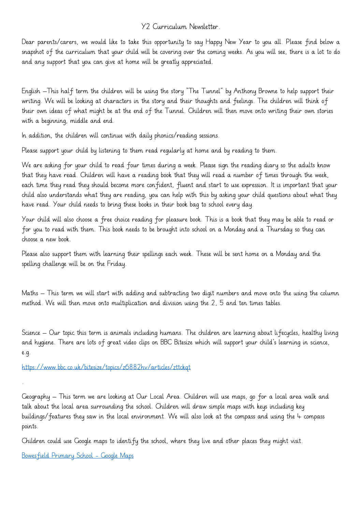## Y2 Curriculum Newsletter.

Dear parents/carers, we would like to take this opportunity to say Happy New Year to you all. Please find below a snapshot of the curriculum that your child will be covering over the coming weeks. As you will see, there is a lot to do and any support that you can give at home will be greatly appreciated.

English –This half term the children will be using the story "The Tunnel" by Anthony Browne to help support their writing. We will be looking at characters in the story and their thoughts and feelings. The children will think of their own ideas of what might be at the end of the Tunnel. Children will then move onto writing their own stories with a beginning, middle and end.

In addition, the children will continue with daily phonics/reading sessions.

Please support your child by listening to them read regularly at home and by reading to them.

We are asking for your child to read four times during a week. Please sign the reading diary so the adults know that they have read. Children will have a reading book that they will read a number of times through the week, each time they read they should become more confident, fluent and start to use expression. It is important that your child also understands what they are reading, you can help with this by asking your child questions about what they have read. Your child needs to bring these books in their book bag to school every day.

Your child will also choose a free choice reading for pleasure book. This is a book that they may be able to read or for you to read with them. This book needs to be brought into school on a Monday and a Thursday so they can choose a new book.

Please also support them with learning their spellings each week. These will be sent home on a Monday and the spelling challenge will be on the Friday.

Maths – This term we will start with adding and subtracting two digit numbers and move onto the using the column method. We will then move onto multiplication and division using the 2, 5 and ten times tables.

Science – Our topic this term is animals including humans. The children are learning about lifecycles, healthy living and hygiene. There are lots of great video clips on BBC Bitesize which will support your child's learning in science, e.g.

<https://www.bbc.co.uk/bitesize/topics/z6882hv/articles/zttckqt>

Geography – This term we are looking at Our Local Area. Children will use maps, go for a local area walk and talk about the local area surrounding the school. Children will draw simple maps with keys including key buildings/features they saw in the local environment. We will also look at the compass and using the 4 compass points.

Children could use Google maps to identify the school, where they live and other places they might visit.

[Bowesfield Primary School -](https://www.google.co.uk/maps/place/Bowesfield+Primary+School/@54.557306,-1.3218999,455m/data=!3m2!1e3!4b1!4m5!3m4!1s0x487e9301f5b03c29:0x303c6890484f3c73!8m2!3d54.5574591!4d-1.3197358) Google Maps

.